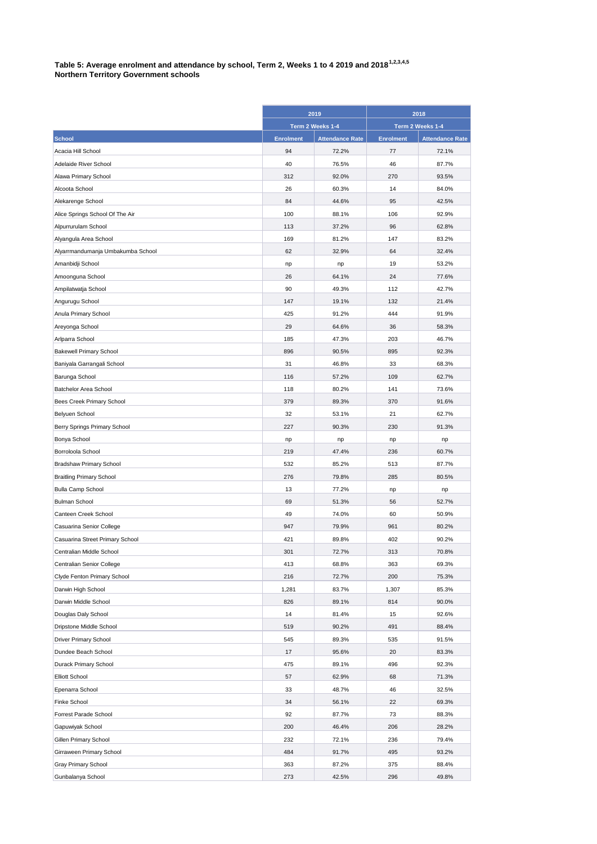## **Table 5: Average enrolment and attendance by school, Term 2, Weeks 1 to 4 2019 and 20181,2,3,4,5 Northern Territory Government schools**

|                                   | 2019             |                        | 2018             |                        |
|-----------------------------------|------------------|------------------------|------------------|------------------------|
|                                   | Term 2 Weeks 1-4 |                        | Term 2 Weeks 1-4 |                        |
| <b>School</b>                     | <b>Enrolment</b> | <b>Attendance Rate</b> | <b>Enrolment</b> | <b>Attendance Rate</b> |
| Acacia Hill School                | 94               | 72.2%                  | 77               | 72.1%                  |
| Adelaide River School             | 40               | 76.5%                  | 46               | 87.7%                  |
| Alawa Primary School              | 312              | 92.0%                  | 270              | 93.5%                  |
| Alcoota School                    | 26               | 60.3%                  | 14               | 84.0%                  |
| Alekarenge School                 | 84               | 44.6%                  | 95               | 42.5%                  |
| Alice Springs School Of The Air   | 100              | 88.1%                  | 106              | 92.9%                  |
| Alpurrurulam School               | 113              | 37.2%                  | 96               | 62.8%                  |
| Alyangula Area School             | 169              | 81.2%                  | 147              | 83.2%                  |
| Alyarrmandumanja Umbakumba School | 62               | 32.9%                  | 64               | 32.4%                  |
| Amanbidji School                  | np               | np                     | 19               | 53.2%                  |
| Amoonguna School                  | 26               | 64.1%                  | 24               | 77.6%                  |
| Ampilatwatja School               | 90               | 49.3%                  | 112              | 42.7%                  |
| Angurugu School                   | 147              | 19.1%                  | 132              | 21.4%                  |
| Anula Primary School              | 425              | 91.2%                  | 444              | 91.9%                  |
| Areyonga School                   | 29               | 64.6%                  | 36               | 58.3%                  |
| Arlparra School                   | 185              | 47.3%                  | 203              | 46.7%                  |
| <b>Bakewell Primary School</b>    | 896              | 90.5%                  | 895              | 92.3%                  |
|                                   | 31               |                        | 33               | 68.3%                  |
| Baniyala Garrangali School        | 116              | 46.8%                  | 109              |                        |
| Barunga School                    |                  | 57.2%                  |                  | 62.7%                  |
| Batchelor Area School             | 118              | 80.2%                  | 141<br>370       | 73.6%                  |
| Bees Creek Primary School         | 379              | 89.3%                  |                  | 91.6%                  |
| Belyuen School                    | 32               | 53.1%                  | 21               | 62.7%                  |
| Berry Springs Primary School      | 227              | 90.3%                  | 230              | 91.3%                  |
| Bonya School                      | np               | np                     | np               | np                     |
| Borroloola School                 | 219              | 47.4%                  | 236              | 60.7%                  |
| <b>Bradshaw Primary School</b>    | 532              | 85.2%                  | 513              | 87.7%                  |
| <b>Braitling Primary School</b>   | 276              | 79.8%                  | 285              | 80.5%                  |
| <b>Bulla Camp School</b>          | 13               | 77.2%                  | np               | np                     |
| <b>Bulman School</b>              | 69               | 51.3%                  | 56               | 52.7%                  |
| Canteen Creek School              | 49               | 74.0%                  | 60               | 50.9%                  |
| Casuarina Senior College          | 947              | 79.9%                  | 961              | 80.2%                  |
| Casuarina Street Primary School   | 421              | 89.8%                  | 402              | 90.2%                  |
| Centralian Middle School          | 301              | 72.7%                  | 313              | 70.8%                  |
| Centralian Senior College         | 413              | 68.8%                  | 363              | 69.3%                  |
| Clyde Fenton Primary School       | 216              | 72.7%                  | 200              | 75.3%                  |
| Darwin High School                | 1,281            | 83.7%                  | 1,307            | 85.3%                  |
| Darwin Middle School              | 826              | 89.1%                  | 814              | 90.0%                  |
| Douglas Daly School               | 14               | 81.4%                  | 15               | 92.6%                  |
| Dripstone Middle School           | 519              | 90.2%                  | 491              | 88.4%                  |
| Driver Primary School             | 545              | 89.3%                  | 535              | 91.5%                  |
| Dundee Beach School               | 17               | 95.6%                  | 20               | 83.3%                  |
| Durack Primary School             | 475              | 89.1%                  | 496              | 92.3%                  |
| <b>Elliott School</b>             | 57               | 62.9%                  | 68               | 71.3%                  |
| Epenarra School                   | 33               | 48.7%                  | 46               | 32.5%                  |
| Finke School                      | 34               | 56.1%                  | 22               | 69.3%                  |
| Forrest Parade School             | 92               | 87.7%                  | 73               | 88.3%                  |
| Gapuwiyak School                  | 200              | 46.4%                  | 206              | 28.2%                  |
| Gillen Primary School             | 232              | 72.1%                  | 236              | 79.4%                  |
| Girraween Primary School          | 484              | 91.7%                  | 495              | 93.2%                  |
| Gray Primary School               | 363              | 87.2%                  | 375              | 88.4%                  |
| Gunbalanya School                 | 273              | 42.5%                  | 296              | 49.8%                  |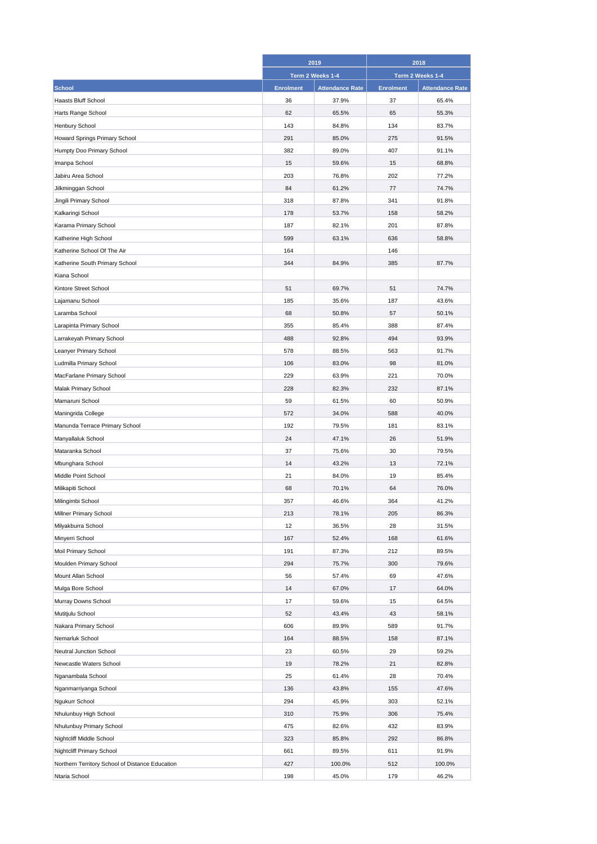|                                                 | 2019             |                        | 2018             |                        |
|-------------------------------------------------|------------------|------------------------|------------------|------------------------|
|                                                 | Term 2 Weeks 1-4 |                        | Term 2 Weeks 1-4 |                        |
| <b>School</b>                                   | <b>Enrolment</b> | <b>Attendance Rate</b> | <b>Enrolment</b> | <b>Attendance Rate</b> |
| <b>Haasts Bluff School</b>                      | 36               | 37.9%                  | 37               | 65.4%                  |
| Harts Range School                              | 62               | 65.5%                  | 65               | 55.3%                  |
| Henbury School                                  | 143              | 84.8%                  | 134              | 83.7%                  |
| Howard Springs Primary School                   | 291              | 85.0%                  | 275              | 91.5%                  |
| Humpty Doo Primary School                       | 382              | 89.0%                  | 407              | 91.1%                  |
| Imanpa School                                   | 15               | 59.6%                  | 15               | 68.8%                  |
| Jabiru Area School                              | 203              | 76.8%                  | 202              | 77.2%                  |
| Jilkminggan School                              | 84               | 61.2%                  | 77               | 74.7%                  |
| Jingili Primary School                          | 318              | 87.8%                  | 341              | 91.8%                  |
| Kalkaringi School                               | 178              | 53.7%                  | 158              | 58.2%                  |
| Karama Primary School                           | 187              | 82.1%                  | 201              | 87.8%                  |
| Katherine High School                           | 599              | 63.1%                  | 636              | 58.8%                  |
| Katherine School Of The Air                     | 164              |                        | 146              |                        |
| Katherine South Primary School                  | 344              | 84.9%                  | 385              | 87.7%                  |
| Kiana School                                    |                  |                        |                  |                        |
| Kintore Street School                           | 51               | 69.7%                  | 51               | 74.7%                  |
|                                                 | 185              | 35.6%                  | 187              | 43.6%                  |
| Lajamanu School                                 |                  |                        |                  |                        |
| Laramba School                                  | 68               | 50.8%                  | 57               | 50.1%                  |
| Larapinta Primary School                        | 355              | 85.4%                  | 388              | 87.4%                  |
| Larrakeyah Primary School                       | 488              | 92.8%                  | 494              | 93.9%                  |
| Leanyer Primary School                          | 578              | 88.5%                  | 563              | 91.7%                  |
| Ludmilla Primary School                         | 106              | 83.0%                  | 98               | 81.0%                  |
| MacFarlane Primary School                       | 229              | 63.9%                  | 221              | 70.0%                  |
| Malak Primary School                            | 228              | 82.3%                  | 232              | 87.1%                  |
| Mamaruni School                                 | 59               | 61.5%                  | 60               | 50.9%                  |
| Maningrida College                              | 572              | 34.0%                  | 588              | 40.0%                  |
| Manunda Terrace Primary School                  | 192              | 79.5%                  | 181              | 83.1%                  |
| Manyallaluk School                              | 24               | 47.1%                  | 26               | 51.9%                  |
| Mataranka School                                | 37               | 75.6%                  | 30               | 79.5%                  |
| Mbunghara School                                | 14               | 43.2%                  | 13               | 72.1%                  |
| Middle Point School                             | 21               | 84.0%                  | 19               | 85.4%                  |
| Milikapiti School                               | 68               | 70.1%                  | 64               | 76.0%                  |
| Milingimbi School                               | 357              | 46.6%                  | 364              | 41.2%                  |
| Millner Primary School                          | 213              | 78.1%                  | 205              | 86.3%                  |
| Milyakburra School                              | 12               | 36.5%                  | 28               | 31.5%                  |
| Minyerri School                                 | 167              | 52.4%                  | 168              | 61.6%                  |
| Moil Primary School                             | 191              | 87.3%                  | 212              | 89.5%                  |
| Moulden Primary School                          | 294              | 75.7%                  | 300              | 79.6%                  |
| Mount Allan School                              | 56               | 57.4%                  | 69               | 47.6%                  |
| Mulga Bore School                               | 14               | 67.0%                  | 17               | 64.0%                  |
| Murray Downs School                             | 17               | 59.6%                  | 15               | 64.5%                  |
| Mutitjulu School                                | 52               | 43.4%                  | 43               | 58.1%                  |
| Nakara Primary School                           | 606              | 89.9%                  | 589              | 91.7%                  |
| Nemarluk School                                 | 164              | 88.5%                  | 158              | 87.1%                  |
| Neutral Junction School                         | 23               | 60.5%                  | 29               | 59.2%                  |
| Newcastle Waters School                         | 19               | 78.2%                  | 21               | 82.8%                  |
| Nganambala School                               | 25               | 61.4%                  | 28               | 70.4%                  |
| Nganmarriyanga School                           | 136              | 43.8%                  | 155              | 47.6%                  |
| Ngukurr School                                  | 294              | 45.9%                  | 303              | 52.1%                  |
| Nhulunbuy High School                           | 310              | 75.9%                  | 306              | 75.4%                  |
| Nhulunbuy Primary School                        | 475              | 82.6%                  | 432              | 83.9%                  |
| Nightcliff Middle School                        | 323              | 85.8%                  | 292              | 86.8%                  |
| Nightcliff Primary School                       | 661              | 89.5%                  | 611              | 91.9%                  |
| Northern Territory School of Distance Education | 427              | 100.0%                 | 512              | 100.0%                 |
| Ntaria School                                   | 198              | 45.0%                  | 179              | 46.2%                  |
|                                                 |                  |                        |                  |                        |